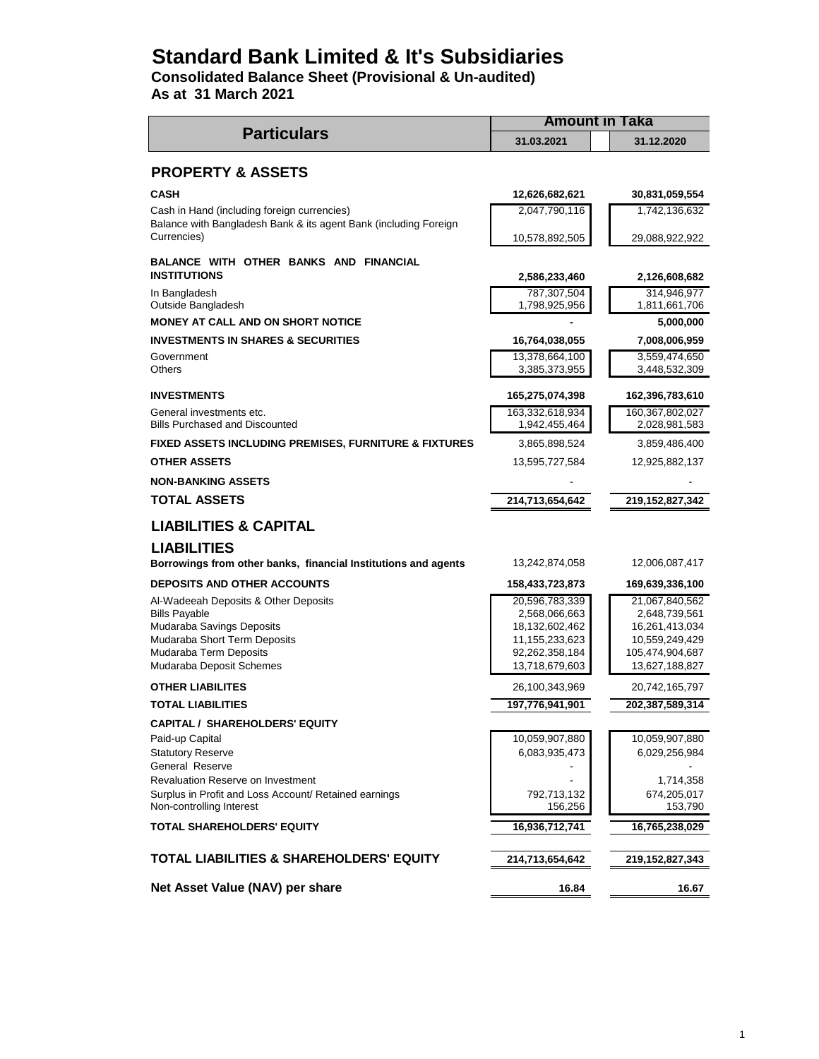# **Standard Bank Limited & It's Subsidiaries**

**Consolidated Balance Sheet (Provisional & Un-audited) As at 31 March 2021**

**31.03.2021 31.12.2020 PROPERTY & ASSETS CASH 12,626,682,621 30,831,059,554** Cash in Hand (including foreign currencies) 2,047,790,116 1,742,136,632 10,578,892,505 29,088,922,922  **2,586,233,460 2,126,608,682** In Bangladesh 787,307,504 314,946,977 Outside Bangladesh 1,811,661,706 1,811,661,706 **MONEY AT CALL AND ON SHORT NOTICE 4.5,000,000 INVESTMENTS IN SHARES & SECURITIES 16,764,038,055 7,008,006,959** Government 3,559,474,650 Others 3,385,373,955 3,448,532,309 **INVESTMENTS 165,275,074,398 162,396,783,610** General investments etc. 163,332,618,934 160,367,802,027 Bills Purchased and Discounted 1,942,455,464 2,028,981,583 **FIXED ASSETS INCLUDING PREMISES, FURNITURE & FIXTURES** 3,865,898,524 3,859,486,400 **OTHER ASSETS** 12,925,882,137 **NON-BANKING ASSETS TOTAL ASSETS 214,713,654,642 219,152,827,342 LIABILITIES & CAPITAL LIABILITIES Borrowings from other banks, financial Institutions and agents** 13,242,874,058 12,006,087,417 **DEPOSITS AND OTHER ACCOUNTS 158,433,723,873 169,639,336,100** Al-Wadeeah Deposits & Other Deposits 20,596,783,339 21,067,840,562 Bills Payable 2,568,066,663 2,568,066,663 2,648,739,561 Mudaraba Savings Deposits 18,132,602,462 16,261,413,034 Mudaraba Short Term Deposits 11,155,233,623 10,559,249,429 Mudaraba Term Deposits 687 (1992) 1992,262,358,184 105,474,904,687 Mudaraba Deposit Schemes 13,718,679,603 13,718,679,603 13,627,188,827 **OTHER LIABILITES** 26,100,343,969 20,742,165,797 **TOTAL LIABILITIES 197,776,941,901 202,387,589,314 CAPITAL / SHAREHOLDERS' EQUITY** Paid-up Capital 10,059,907,880 10,059,907,880 10,059,907,880 10,059,907,880 10,059,907,880 10,059,907,880 10,059,907,880 10,059,907,880 10,059,907,880 10,059,907,880 10,059,907,880 10,059,907,880 10,059,907,880 10,059,907, Statutory Reserve 6,083,935,473 6,029,256,984 General Reserve Revaluation Reserve on Investment 1,714,358 Surplus in Profit and Loss Account/ Retained earnings  $\overline{792,713,132}$  674,205,017 Non-controlling Interest 156,256 156,256 155,790 **TOTAL SHAREHOLDERS' EQUITY** 16,936,712,741 16,765,238,029 **TOTAL LIABILITIES & SHAREHOLDERS' EQUITY 214,713,654,642 219,152,827,343 Net Asset Value (NAV) per share** 16.87 **16.84** 16.87 **BALANCE WITH OTHER BANKS AND FINANCIAL INSTITUTIONS Particulars** Balance with Bangladesh Bank & its agent Bank (including Foreign Currencies) **Amount in Taka**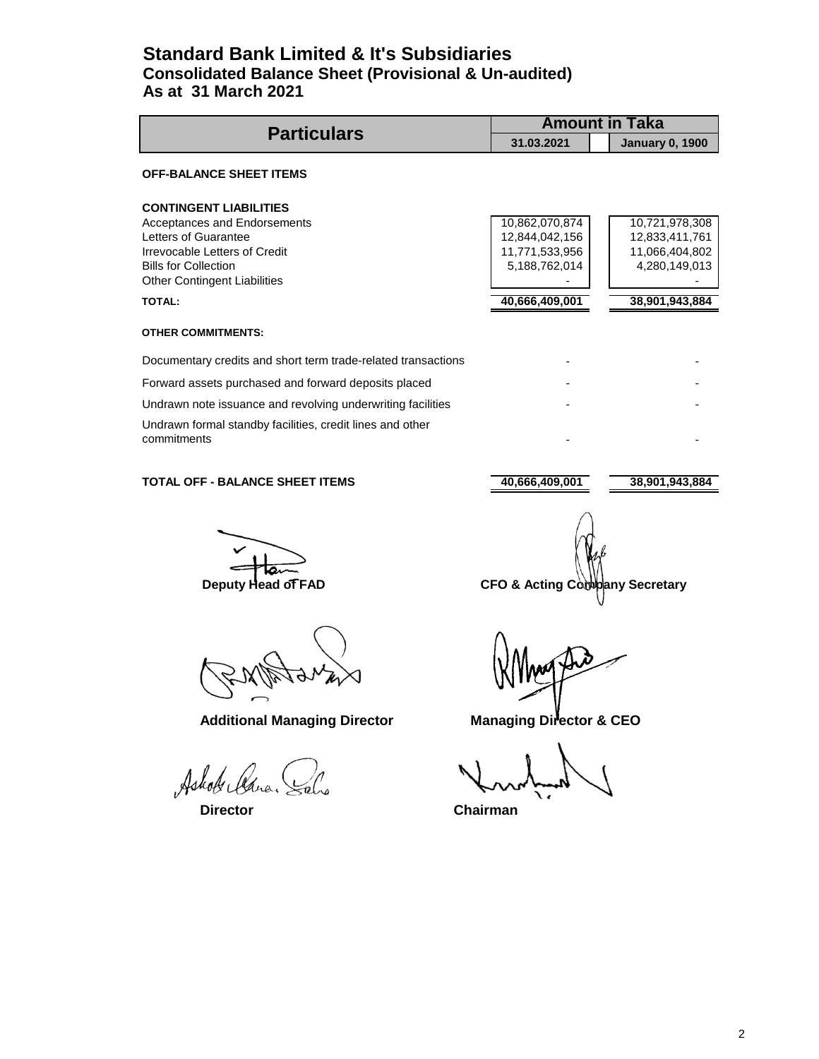## **Standard Bank Limited & It's Subsidiaries Consolidated Balance Sheet (Provisional & Un-audited) As at 31 March 2021**

| <b>Particulars</b>                                                       |                | <b>Amount in Taka</b>  |
|--------------------------------------------------------------------------|----------------|------------------------|
|                                                                          | 31.03.2021     | <b>January 0, 1900</b> |
| <b>OFF-BALANCE SHEET ITEMS</b>                                           |                |                        |
| <b>CONTINGENT LIABILITIES</b>                                            |                |                        |
| Acceptances and Endorsements                                             | 10,862,070,874 | 10,721,978,308         |
| Letters of Guarantee                                                     | 12,844,042,156 | 12,833,411,761         |
| Irrevocable Letters of Credit                                            | 11,771,533,956 | 11,066,404,802         |
| <b>Bills for Collection</b>                                              | 5,188,762,014  | 4,280,149,013          |
| <b>Other Contingent Liabilities</b>                                      |                |                        |
| <b>TOTAL:</b>                                                            | 40,666,409,001 | 38,901,943,884         |
| <b>OTHER COMMITMENTS:</b>                                                |                |                        |
| Documentary credits and short term trade-related transactions            |                |                        |
| Forward assets purchased and forward deposits placed                     |                |                        |
| Undrawn note issuance and revolving underwriting facilities              |                |                        |
| Undrawn formal standby facilities, credit lines and other<br>commitments |                |                        |

### **TOTAL OFF - BALANCE SHEET ITEMS** 40,666,409,001 38,901,943,884

Additional Managing Director **Managing Director & CEO** 

Ashole Cana.

**Deputy Head of FAD** CFO & Acting Company Secretary

 **Director Chairman**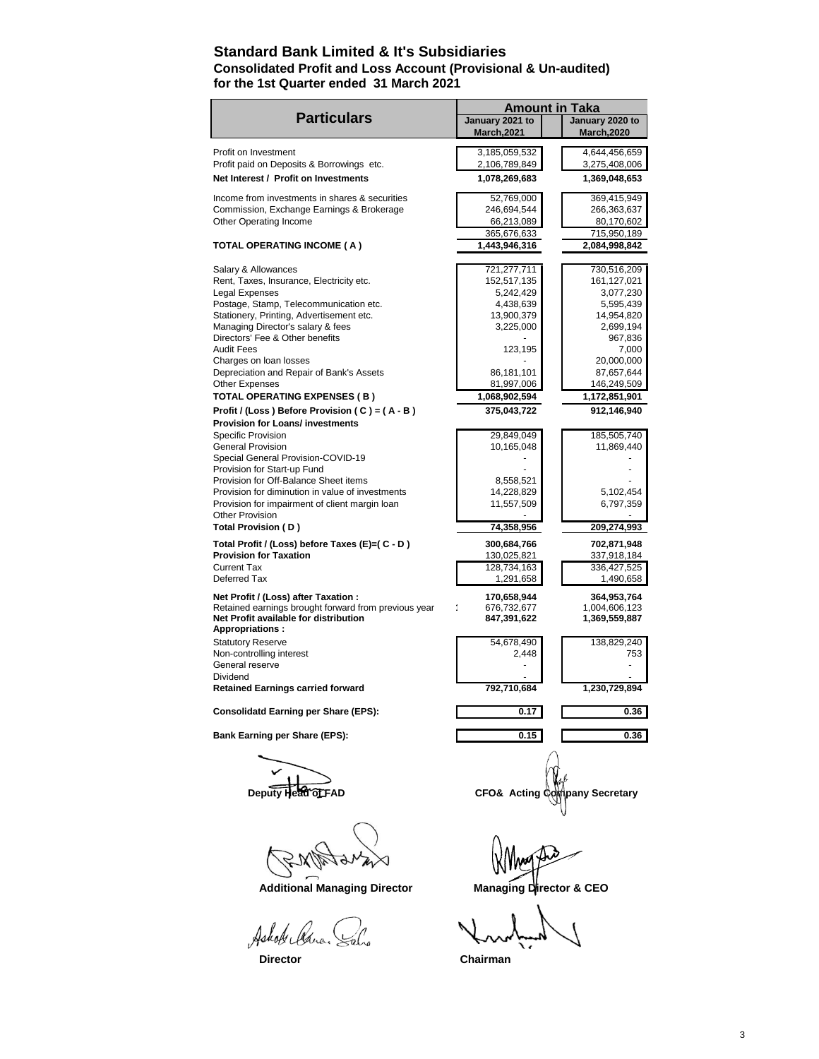### **Standard Bank Limited & It's Subsidiaries Consolidated Profit and Loss Account (Provisional & Un-audited) for the 1st Quarter ended 31 March 2021**

|                                                                                             | <b>Amount in Taka</b>                 |                                       |
|---------------------------------------------------------------------------------------------|---------------------------------------|---------------------------------------|
| <b>Particulars</b>                                                                          | January 2021 to<br><b>March, 2021</b> | January 2020 to<br><b>March, 2020</b> |
| Profit on Investment                                                                        | 3,185,059,532                         | 4,644,456,659                         |
| Profit paid on Deposits & Borrowings etc.                                                   | 2,106,789,849                         | 3,275,408,006                         |
| Net Interest / Profit on Investments                                                        | 1,078,269,683                         | 1,369,048,653                         |
| Income from investments in shares & securities                                              | 52,769,000                            | 369,415,949                           |
| Commission, Exchange Earnings & Brokerage                                                   | 246,694,544                           | 266,363,637                           |
| Other Operating Income                                                                      | 66,213,089                            | 80,170,602                            |
|                                                                                             | 365,676,633                           | 715,950,189                           |
| <b>TOTAL OPERATING INCOME ( A )</b>                                                         | 1,443,946,316                         | 2,084,998,842                         |
| Salary & Allowances                                                                         | 721,277,711                           | 730,516,209                           |
| Rent, Taxes, Insurance, Electricity etc.                                                    | 152,517,135                           | 161,127,021                           |
| Legal Expenses                                                                              | 5,242,429                             | 3,077,230                             |
| Postage, Stamp, Telecommunication etc.                                                      | 4,438,639                             | 5,595,439                             |
| Stationery, Printing, Advertisement etc.<br>Managing Director's salary & fees               | 13,900,379<br>3,225,000               | 14,954,820<br>2,699,194               |
| Directors' Fee & Other benefits                                                             |                                       | 967,836                               |
| <b>Audit Fees</b>                                                                           | 123,195                               | 7,000                                 |
| Charges on loan losses                                                                      |                                       | 20,000,000                            |
| Depreciation and Repair of Bank's Assets                                                    | 86,181,101                            | 87,657,644                            |
| Other Expenses                                                                              | 81,997,006                            | 146,249,509                           |
| <b>TOTAL OPERATING EXPENSES (B)</b>                                                         | 1,068,902,594                         | 1,172,851,901                         |
| Profit / (Loss) Before Provision (C) = $(A - B)$<br><b>Provision for Loans/ investments</b> | 375,043,722                           | 912,146,940                           |
| Specific Provision                                                                          | 29,849,049                            | 185,505,740                           |
| <b>General Provision</b>                                                                    | 10,165,048                            | 11,869,440                            |
| Special General Provision-COVID-19                                                          |                                       |                                       |
| Provision for Start-up Fund                                                                 |                                       |                                       |
| Provision for Off-Balance Sheet items                                                       | 8,558,521                             |                                       |
| Provision for diminution in value of investments                                            | 14,228,829                            | 5,102,454                             |
| Provision for impairment of client margin loan                                              | 11,557,509                            | 6,797,359                             |
| <b>Other Provision</b><br>Total Provision (D)                                               | 74,358,956                            | 209,274,993                           |
| Total Profit / (Loss) before Taxes (E)=( C - D )                                            | 300,684,766                           | 702,871,948                           |
| <b>Provision for Taxation</b>                                                               | 130,025,821                           | 337,918,184                           |
| <b>Current Tax</b>                                                                          | 128,734,163                           | 336,427,525                           |
| Deferred Tax                                                                                | 1,291,658                             | 1,490,658                             |
| Net Profit / (Loss) after Taxation :                                                        | 170,658,944                           | 364,953,764                           |
| Retained earnings brought forward from previous year                                        | 676,732,677                           | 1,004,606,123                         |
| Net Profit available for distribution<br><b>Appropriations:</b>                             | 847,391,622                           | 1,369,559,887                         |
| <b>Statutory Reserve</b>                                                                    | 54,678,490                            | 138,829,240                           |
| Non-controlling interest                                                                    | 2,448                                 | 753                                   |
| General reserve                                                                             |                                       |                                       |
| Dividend<br><b>Retained Earnings carried forward</b>                                        | 792,710,684                           | 1,230,729,894                         |
| <b>Consolidatd Earning per Share (EPS):</b>                                                 | 0.17                                  | 0.36                                  |
|                                                                                             |                                       |                                       |
| Bank Earning per Share (EPS):                                                               | 0.15                                  | 0.36                                  |
|                                                                                             |                                       |                                       |
|                                                                                             |                                       |                                       |
|                                                                                             | CFO& Acting (                         | pany Secretary                        |
|                                                                                             |                                       |                                       |
|                                                                                             |                                       |                                       |
|                                                                                             |                                       |                                       |
| <b>Additional Managing Director</b>                                                         | Managing Director & CEO               |                                       |
| Ashole Clara.                                                                               |                                       |                                       |
|                                                                                             |                                       |                                       |

 **Director Chairman**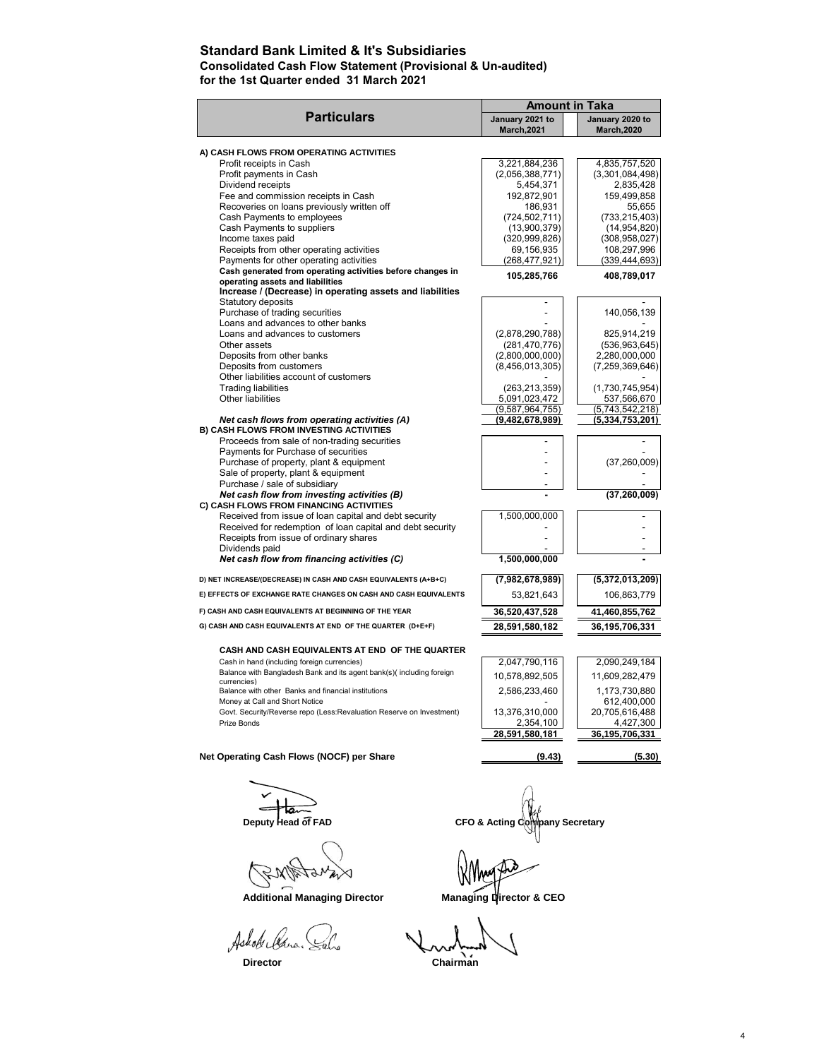### **Standard Bank Limited & It's Subsidiaries Consolidated Cash Flow Statement (Provisional & Un-audited)**

**for the 1st Quarter ended 31 March 2021**

|                                                                      | <b>Amount in Taka</b>                 |                                       |
|----------------------------------------------------------------------|---------------------------------------|---------------------------------------|
| <b>Particulars</b>                                                   | January 2021 to<br><b>March, 2021</b> | January 2020 to<br><b>March, 2020</b> |
| A) CASH FLOWS FROM OPERATING ACTIVITIES                              |                                       |                                       |
| Profit receipts in Cash                                              | 3,221,884,236                         | 4,835,757,520                         |
| Profit payments in Cash                                              | (2,056,388,771)                       | (3,301,084,498)                       |
| Dividend receipts                                                    | 5,454,371                             | 2,835,428                             |
| Fee and commission receipts in Cash                                  | 192,872,901                           | 159,499,858                           |
| Recoveries on loans previously written off                           | 186,931                               | 55,655                                |
| Cash Payments to employees                                           | (724, 502, 711)                       | (733, 215, 403)                       |
| Cash Payments to suppliers                                           | (13,900,379)                          | (14, 954, 820)                        |
| Income taxes paid                                                    | (320, 999, 826)                       | (308, 958, 027)                       |
| Receipts from other operating activities                             | 69,156,935                            | 108,297,996                           |
| Payments for other operating activities                              | (268, 477, 921)                       | (339, 444, 693)                       |
| Cash generated from operating activities before changes in           |                                       |                                       |
| operating assets and liabilities                                     | 105,285,766                           | 408,789,017                           |
| Increase / (Decrease) in operating assets and liabilities            |                                       |                                       |
| Statutory deposits                                                   |                                       |                                       |
| Purchase of trading securities                                       |                                       | 140,056,139                           |
| Loans and advances to other banks                                    |                                       |                                       |
| Loans and advances to customers                                      | (2,878,290,788)                       | 825,914,219                           |
| Other assets                                                         | (281, 470, 776)                       | (536, 963, 645)                       |
| Deposits from other banks                                            | (2,800,000,000)                       | 2,280,000,000                         |
| Deposits from customers                                              | (8,456,013,305)                       | (7, 259, 369, 646)                    |
| Other liabilities account of customers                               |                                       |                                       |
| <b>Trading liabilities</b>                                           | (263, 213, 359)                       | (1,730,745,954)                       |
| Other liabilities                                                    | 5,091,023,472                         | 537,566,670                           |
|                                                                      | (9,587,964,755)                       | (5,743,542,218)                       |
| Net cash flows from operating activities (A)                         | (9,482,678,989)                       | (5,334,753,201)                       |
| B) CASH FLOWS FROM INVESTING ACTIVITIES                              |                                       |                                       |
| Proceeds from sale of non-trading securities                         |                                       |                                       |
| Payments for Purchase of securities                                  |                                       |                                       |
| Purchase of property, plant & equipment                              |                                       | (37, 260, 009)                        |
| Sale of property, plant & equipment                                  |                                       |                                       |
| Purchase / sale of subsidiary                                        |                                       |                                       |
| Net cash flow from investing activities (B)                          |                                       | (37, 260, 009)                        |
| C) CASH FLOWS FROM FINANCING ACTIVITIES                              |                                       |                                       |
| Received from issue of loan capital and debt security                | 1,500,000,000                         |                                       |
| Received for redemption of loan capital and debt security            |                                       |                                       |
| Receipts from issue of ordinary shares                               |                                       |                                       |
| Dividends paid                                                       |                                       |                                       |
| Net cash flow from financing activities (C)                          | 1,500,000,000                         |                                       |
| D) NET INCREASE/(DECREASE) IN CASH AND CASH EQUIVALENTS (A+B+C)      | (7,982,678,989)                       | (5,372,013,209)                       |
| E) EFFECTS OF EXCHANGE RATE CHANGES ON CASH AND CASH EQUIVALENTS     | 53,821,643                            | 106,863,779                           |
| F) CASH AND CASH EQUIVALENTS AT BEGINNING OF THE YEAR                | 36,520,437,528                        | 41,460,855,762                        |
| G) CASH AND CASH EQUIVALENTS AT END OF THE QUARTER (D+E+F)           | 28,591,580,182                        | 36, 195, 706, 331                     |
| CASH AND CASH EQUIVALENTS AT END OF THE QUARTER                      |                                       |                                       |
| Cash in hand (including foreign currencies)                          | 2,047,790,116                         | 2,090,249,184                         |
| Balance with Bangladesh Bank and its agent bank(s)(including foreign |                                       |                                       |
| currencies)                                                          | 10,578,892,505                        | 11,609,282,479                        |
| Balance with other Banks and financial institutions                  | 2,586,233,460                         | 1,173,730,880                         |
| Money at Call and Short Notice                                       |                                       | 612,400,000                           |
| Govt. Security/Reverse repo (Less:Revaluation Reserve on Investment) | 13,376,310,000                        | 20,705,616,488                        |
| Prize Bonds                                                          | 2,354,100                             | 4,427,300                             |
|                                                                      | 28,591,580,181                        | 36,195,706,331                        |
| Net Operating Cash Flows (NOCF) per Share                            | (9.43)                                | (5.30)                                |
|                                                                      |                                       |                                       |

EXPERN ×  $\mathbb{Z}_{\mathcal{V}}$ 

Additional Managing Director **Managing Director & CEO** 

Ashok lears.

**Solution Deputy Head of FAD**<br>Deputy Head of FAD CFO & Acting Company Secretary

Yho

**Director** Chairman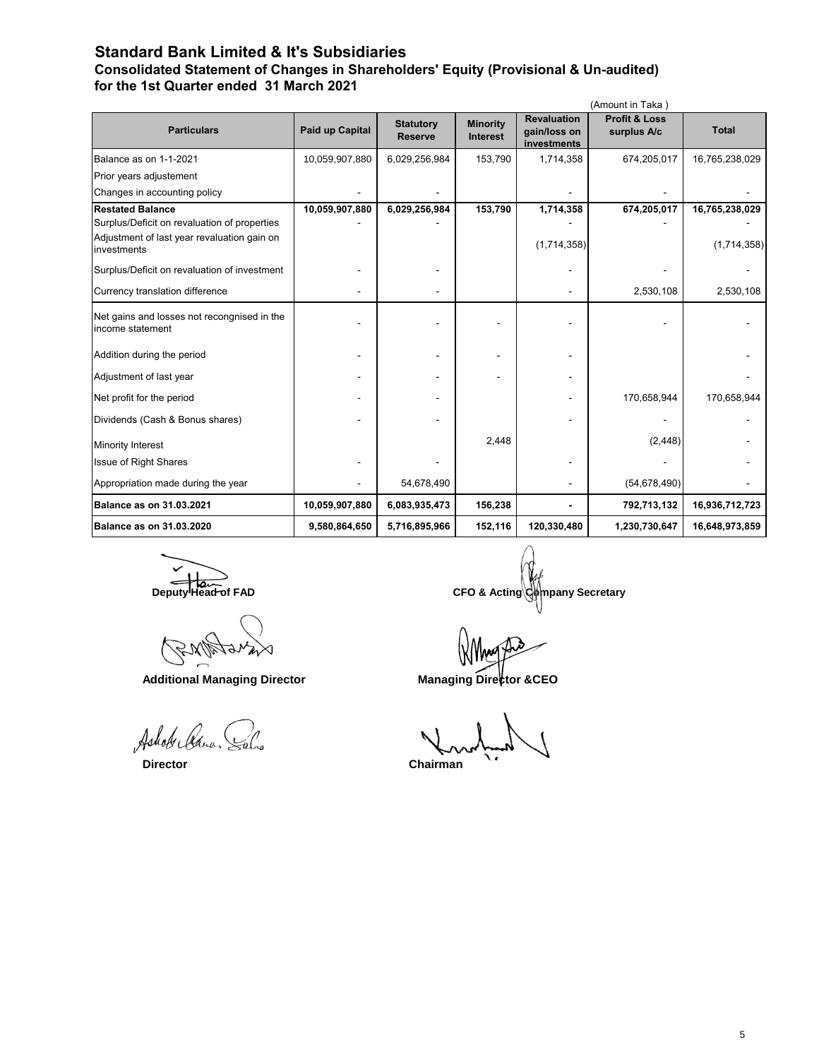## **Standard Bank Limited & It's Subsidiaries**

**Consolidated Statement of Changes in Shareholders' Equity (Provisional & Un-audited) for the 1st Quarter ended 31 March 2021**

|                                                                                                                                       |                 |                                    |                                    |                                                   | (Amount in Taka)                        |                               |
|---------------------------------------------------------------------------------------------------------------------------------------|-----------------|------------------------------------|------------------------------------|---------------------------------------------------|-----------------------------------------|-------------------------------|
| <b>Particulars</b>                                                                                                                    | Paid up Capital | <b>Statutory</b><br><b>Reserve</b> | <b>Minority</b><br><b>Interest</b> | <b>Revaluation</b><br>gain/loss on<br>investments | <b>Profit &amp; Loss</b><br>surplus A/c | <b>Total</b>                  |
| Balance as on 1-1-2021                                                                                                                | 10,059,907,880  | 6,029,256,984                      | 153,790                            | 1,714,358                                         | 674,205,017                             | 16,765,238,029                |
| Prior years adjustement                                                                                                               |                 |                                    |                                    |                                                   |                                         |                               |
| Changes in accounting policy                                                                                                          |                 |                                    |                                    |                                                   |                                         |                               |
| <b>Restated Balance</b><br>Surplus/Deficit on revaluation of properties<br>Adjustment of last year revaluation gain on<br>investments | 10,059,907,880  | 6,029,256,984                      | 153,790                            | 1,714,358<br>(1,714,358)                          | 674,205,017                             | 16,765,238,029<br>(1,714,358) |
| Surplus/Deficit on revaluation of investment<br>Currency translation difference                                                       |                 |                                    |                                    |                                                   | 2,530,108                               | 2,530,108                     |
| Net gains and losses not recongnised in the<br>income statement                                                                       |                 |                                    |                                    |                                                   |                                         |                               |
| Addition during the period                                                                                                            |                 |                                    |                                    |                                                   |                                         |                               |
| Adjustment of last year                                                                                                               |                 |                                    |                                    |                                                   |                                         |                               |
| Net profit for the period                                                                                                             |                 |                                    |                                    |                                                   | 170,658,944                             | 170,658,944                   |
| Dividends (Cash & Bonus shares)                                                                                                       |                 |                                    |                                    |                                                   |                                         |                               |
| Minority Interest                                                                                                                     |                 |                                    | 2,448                              |                                                   | (2, 448)                                |                               |
| <b>Issue of Right Shares</b>                                                                                                          |                 |                                    |                                    |                                                   |                                         |                               |
| Appropriation made during the year                                                                                                    |                 | 54,678,490                         |                                    |                                                   | (54, 678, 490)                          |                               |
| <b>Balance as on 31.03.2021</b>                                                                                                       | 10,059,907,880  | 6,083,935,473                      | 156,238                            |                                                   | 792,713,132                             | 16,936,712,723                |
| <b>Balance as on 31.03.2020</b>                                                                                                       | 9,580,864,650   | 5,716,895,966                      | 152,116                            | 120,330,480                                       | 1,230,730,647                           | 16,648,973,859                |

Additional Managing Director **Managing Director** Managing Director

Ashol Cana

**Deputy Head of FAD**<br>CFO & Acting Company Secretary

 **Director Chairman**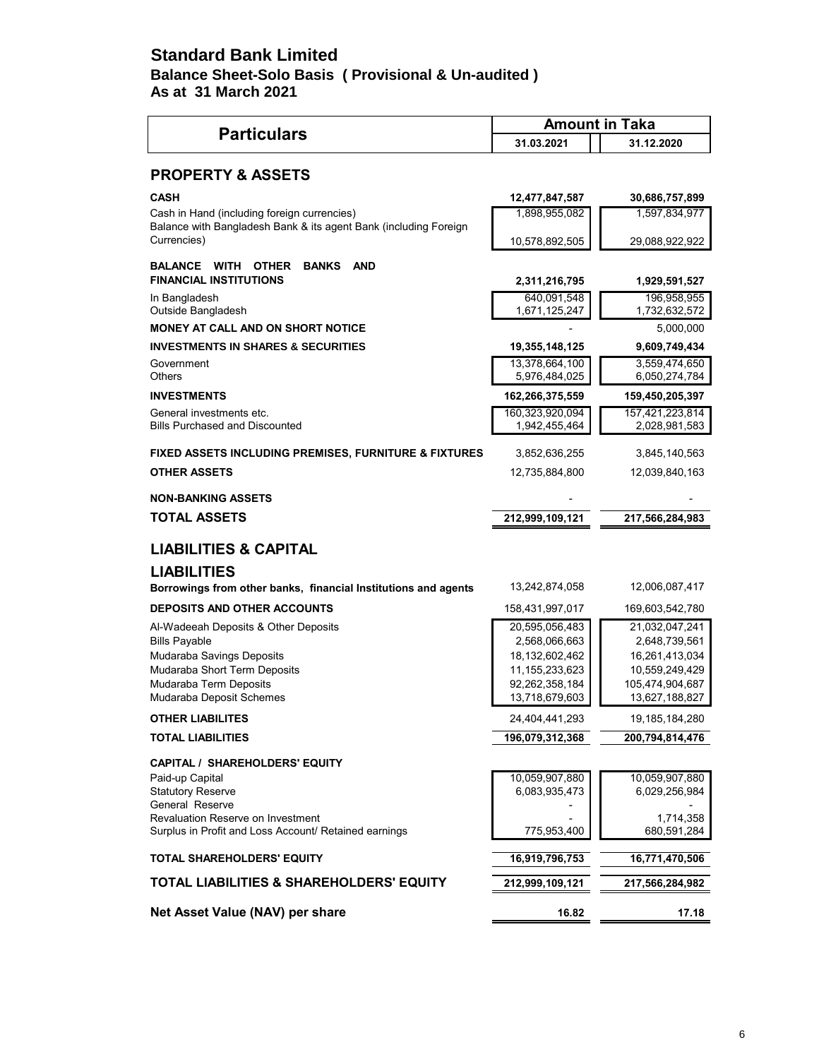## **Standard Bank Limited Balance Sheet-Solo Basis ( Provisional & Un-audited ) As at 31 March 2021**

|                                                                                            | <b>Amount in Taka</b>               |                                  |
|--------------------------------------------------------------------------------------------|-------------------------------------|----------------------------------|
| <b>Particulars</b>                                                                         | 31.03.2021                          | 31.12.2020                       |
| <b>PROPERTY &amp; ASSETS</b>                                                               |                                     |                                  |
| <b>CASH</b>                                                                                | 12,477,847,587                      | 30,686,757,899                   |
| Cash in Hand (including foreign currencies)                                                | 1,898,955,082                       | 1,597,834,977                    |
| Balance with Bangladesh Bank & its agent Bank (including Foreign<br>Currencies)            | 10,578,892,505                      | 29,088,922,922                   |
| <b>BALANCE WITH OTHER</b><br><b>BANKS</b><br><b>AND</b><br><b>FINANCIAL INSTITUTIONS</b>   | 2,311,216,795                       | 1,929,591,527                    |
| In Bangladesh<br>Outside Bangladesh                                                        | 640,091,548<br>1,671,125,247        | 196,958,955<br>1,732,632,572     |
| <b>MONEY AT CALL AND ON SHORT NOTICE</b>                                                   |                                     | 5,000,000                        |
| <b>INVESTMENTS IN SHARES &amp; SECURITIES</b>                                              | 19,355,148,125                      | 9,609,749,434                    |
| Government                                                                                 | 13,378,664,100                      | 3,559,474,650                    |
| Others                                                                                     | 5,976,484,025                       | 6,050,274,784                    |
| <b>INVESTMENTS</b>                                                                         | 162,266,375,559                     | 159,450,205,397                  |
| General investments etc.                                                                   | 160,323,920,094                     | 157,421,223,814                  |
| <b>Bills Purchased and Discounted</b>                                                      | 1,942,455,464                       | 2,028,981,583                    |
| FIXED ASSETS INCLUDING PREMISES, FURNITURE & FIXTURES                                      | 3,852,636,255                       | 3,845,140,563                    |
| <b>OTHER ASSETS</b>                                                                        | 12,735,884,800                      | 12,039,840,163                   |
| <b>NON-BANKING ASSETS</b>                                                                  |                                     |                                  |
| <b>TOTAL ASSETS</b>                                                                        | 212,999,109,121                     | 217,566,284,983                  |
| <b>LIABILITIES &amp; CAPITAL</b>                                                           |                                     |                                  |
| <b>LIABILITIES</b>                                                                         |                                     |                                  |
| Borrowings from other banks, financial Institutions and agents                             | 13,242,874,058                      | 12,006,087,417                   |
| <b>DEPOSITS AND OTHER ACCOUNTS</b>                                                         | 158,431,997,017                     | 169,603,542,780                  |
| Al-Wadeeah Deposits & Other Deposits                                                       | 20,595,056,483                      | 21,032,047,241                   |
| <b>Bills Payable</b>                                                                       | 2,568,066,663                       | 2,648,739,561                    |
| Mudaraba Savings Deposits<br>Mudaraba Short Term Deposits                                  | 18,132,602,462                      | 16,261,413,034<br>10,559,249,429 |
| Mudaraba Term Deposits                                                                     | 11, 155, 233, 623<br>92,262,358,184 | 105,474,904,687                  |
| Mudaraba Deposit Schemes                                                                   | 13,718,679,603                      | 13,627,188,827                   |
| <b>OTHER LIABILITES</b>                                                                    | 24,404,441,293                      | 19,185,184,280                   |
| <b>TOTAL LIABILITIES</b>                                                                   | 196,079,312,368                     | 200,794,814,476                  |
| <b>CAPITAL / SHAREHOLDERS' EQUITY</b>                                                      |                                     |                                  |
| Paid-up Capital                                                                            | 10,059,907,880                      | 10,059,907,880                   |
| <b>Statutory Reserve</b>                                                                   | 6,083,935,473                       | 6,029,256,984                    |
| General Reserve                                                                            |                                     |                                  |
| Revaluation Reserve on Investment<br>Surplus in Profit and Loss Account/ Retained earnings | 775,953,400                         | 1,714,358<br>680,591,284         |
| <b>TOTAL SHAREHOLDERS' EQUITY</b>                                                          | 16,919,796,753                      | 16,771,470,506                   |
| TOTAL LIABILITIES & SHAREHOLDERS' EQUITY                                                   | 212,999,109,121                     | 217,566,284,982                  |
|                                                                                            |                                     |                                  |
| Net Asset Value (NAV) per share                                                            | 16.82                               | 17.18                            |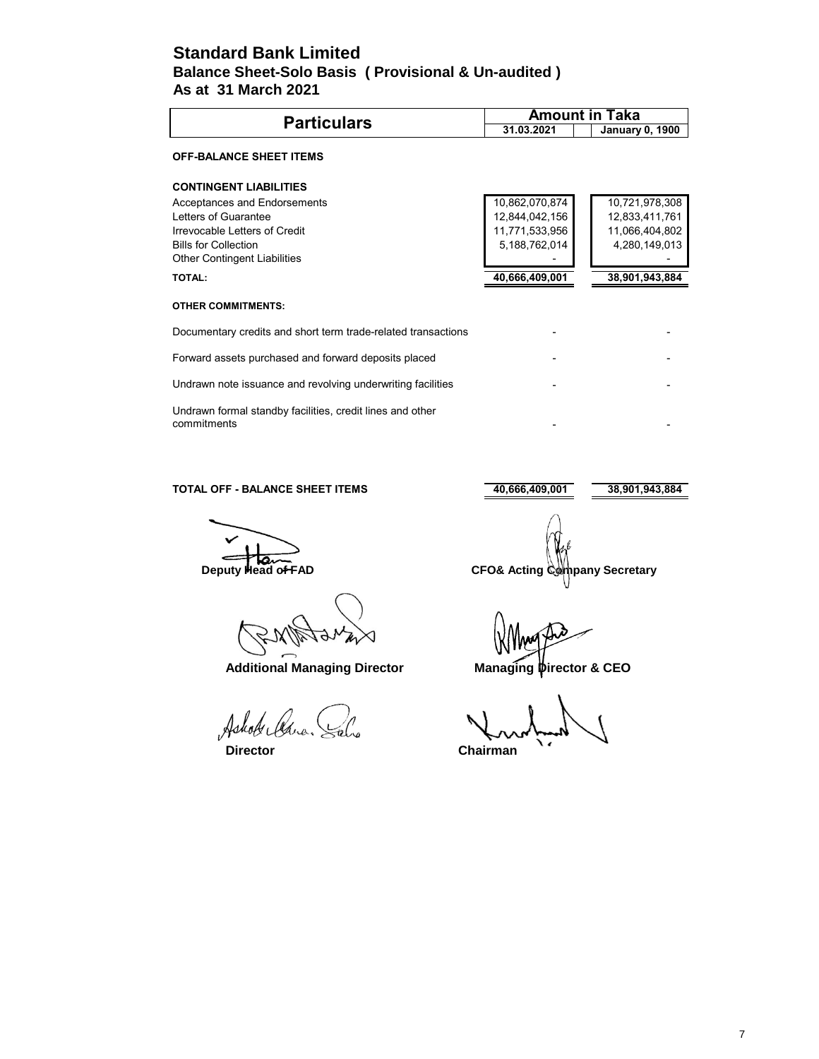## **Standard Bank Limited As at 31 March 2021 Balance Sheet-Solo Basis ( Provisional & Un-audited )**

| <b>Particulars</b>                                                       | <b>Amount in Taka</b> |                        |  |
|--------------------------------------------------------------------------|-----------------------|------------------------|--|
|                                                                          | 31.03.2021            | <b>January 0, 1900</b> |  |
| <b>OFF-BALANCE SHEET ITEMS</b>                                           |                       |                        |  |
| <b>CONTINGENT LIABILITIES</b>                                            |                       |                        |  |
| Acceptances and Endorsements                                             | 10,862,070,874        | 10,721,978,308         |  |
| Letters of Guarantee                                                     | 12,844,042,156        | 12,833,411,761         |  |
| Irrevocable Letters of Credit                                            | 11,771,533,956        | 11,066,404,802         |  |
| <b>Bills for Collection</b>                                              | 5,188,762,014         | 4,280,149,013          |  |
| <b>Other Contingent Liabilities</b>                                      |                       |                        |  |
| <b>TOTAL:</b>                                                            | 40,666,409,001        | 38,901,943,884         |  |
| <b>OTHER COMMITMENTS:</b>                                                |                       |                        |  |
| Documentary credits and short term trade-related transactions            |                       |                        |  |
| Forward assets purchased and forward deposits placed                     |                       |                        |  |
| Undrawn note issuance and revolving underwriting facilities              |                       |                        |  |
| Undrawn formal standby facilities, credit lines and other<br>commitments |                       |                        |  |

### **TOTAL OFF - BALANCE SHEET ITEMS** 40,666,409,001 38,901,943,884

Additional Managing Director **Managing Pirector & CEO** 

Ashot Cana. 'N

**Deputy Head of FAD** CFO& Acting Company Secretary

 **Director Chairman**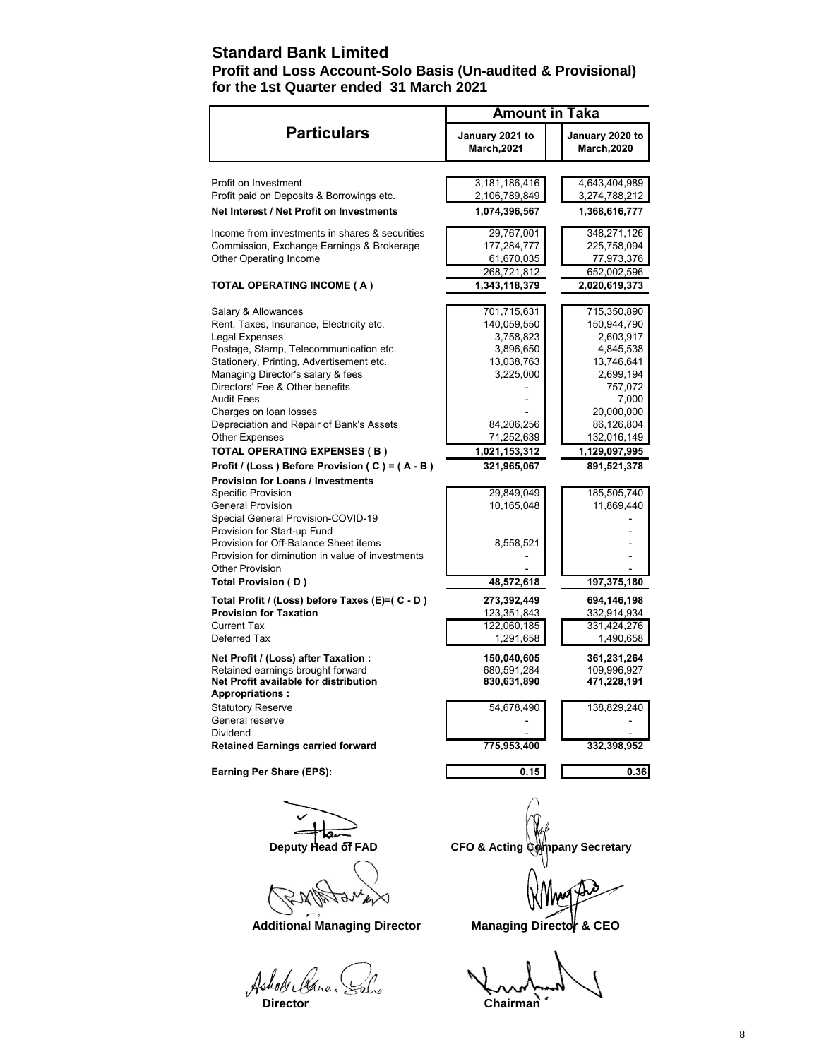## **Standard Bank Limited**

## **Profit and Loss Account-Solo Basis (Un-audited & Provisional) for the 1st Quarter ended 31 March 2021**

|                                                                   | <b>Amount in Taka</b>                 |                                       |
|-------------------------------------------------------------------|---------------------------------------|---------------------------------------|
| <b>Particulars</b>                                                | January 2021 to<br><b>March, 2021</b> | January 2020 to<br><b>March, 2020</b> |
|                                                                   |                                       |                                       |
| Profit on Investment                                              | 3,181,186,416                         | 4,643,404,989                         |
| Profit paid on Deposits & Borrowings etc.                         | 2,106,789,849                         | 3,274,788,212                         |
| Net Interest / Net Profit on Investments                          | 1,074,396,567                         | 1,368,616,777                         |
| Income from investments in shares & securities                    | 29,767,001                            | 348,271,126                           |
| Commission, Exchange Earnings & Brokerage                         | 177,284,777                           | 225,758,094                           |
| Other Operating Income                                            | 61,670,035                            | 77,973,376                            |
|                                                                   | 268,721,812                           | 652,002,596                           |
| TOTAL OPERATING INCOME ( A )                                      | 1,343,118,379                         | 2,020,619,373                         |
| Salary & Allowances                                               | 701,715,631                           | 715,350,890                           |
| Rent, Taxes, Insurance, Electricity etc.                          | 140,059,550                           | 150,944,790                           |
| Legal Expenses                                                    | 3,758,823                             | 2,603,917                             |
| Postage, Stamp, Telecommunication etc.                            | 3,896,650                             | 4,845,538                             |
| Stationery, Printing, Advertisement etc.                          | 13,038,763                            | 13,746,641                            |
| Managing Director's salary & fees                                 | 3,225,000                             | 2,699,194                             |
| Directors' Fee & Other benefits                                   |                                       | 757,072                               |
| Audit Fees                                                        |                                       | 7,000                                 |
| Charges on loan losses                                            |                                       | 20,000,000                            |
| Depreciation and Repair of Bank's Assets                          | 84,206,256                            | 86,126,804                            |
| <b>Other Expenses</b>                                             | 71,252,639                            | 132,016,149                           |
| TOTAL OPERATING EXPENSES (B)                                      | 1,021,153,312                         | 1,129,097,995                         |
| Profit / (Loss) Before Provision (C) = (A - B)                    | 321,965,067                           | 891,521,378                           |
| <b>Provision for Loans / Investments</b>                          |                                       |                                       |
| Specific Provision                                                | 29,849,049                            | 185,505,740                           |
| <b>General Provision</b>                                          | 10,165,048                            | 11,869,440                            |
| Special General Provision-COVID-19<br>Provision for Start-up Fund |                                       |                                       |
| Provision for Off-Balance Sheet items                             | 8,558,521                             |                                       |
| Provision for diminution in value of investments                  |                                       |                                       |
| <b>Other Provision</b>                                            |                                       |                                       |
| Total Provision (D)                                               | 48,572,618                            | 197,375,180                           |
| Total Profit / (Loss) before Taxes (E)=( C - D )                  | 273,392,449                           | 694,146,198                           |
| <b>Provision for Taxation</b>                                     | 123,351,843                           | 332,914,934                           |
| Current Tax                                                       | 122,060,185                           | 331,424,276                           |
| Deferred Tax                                                      | 1,291,658                             | 1,490,658                             |
| Net Profit / (Loss) after Taxation :                              | 150,040,605                           | 361,231,264                           |
| Retained earnings brought forward                                 | 680,591,284                           | 109,996,927                           |
| Net Profit available for distribution<br><b>Appropriations:</b>   | 830,631,890                           | 471,228,191                           |
| <b>Statutory Reserve</b>                                          | 54,678,490                            | 138,829,240                           |
| General reserve                                                   |                                       |                                       |
| Dividend                                                          |                                       |                                       |
| <b>Retained Earnings carried forward</b>                          | 775,953,400                           | 332,398,952                           |
| Earning Per Share (EPS):                                          | 0.15                                  | 0.36                                  |
|                                                                   |                                       |                                       |
|                                                                   |                                       |                                       |

**N/P** 197 ◁ The

Ashok Clana.

**Deputy Head of FAD CFO & Acting Company Secretary** 

Additional Managing Director Managing Director **Managing Director** & CEO

**Director** Chairman<sup>n</sup>

8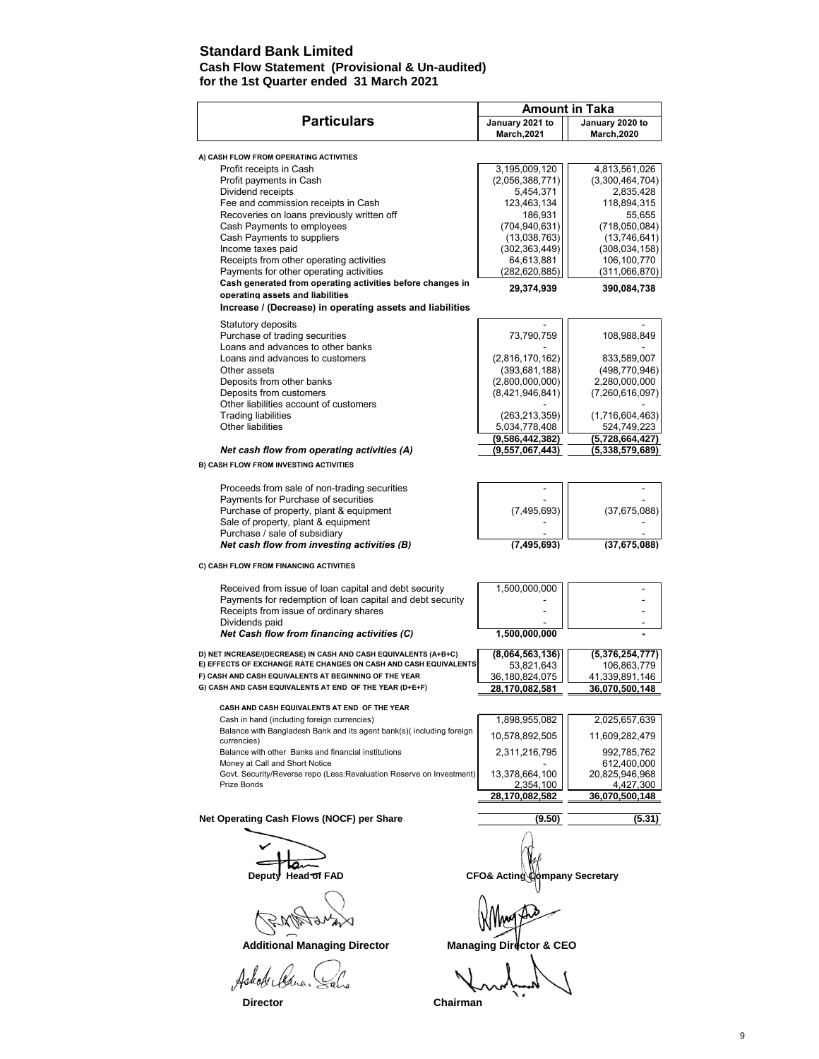## **Standard Bank Limited**

#### **Cash Flow Statement (Provisional & Un-audited) for the 1st Quarter ended 31 March 2021**

|                                                                                       | <b>Amount in Taka</b>                 |                                       |
|---------------------------------------------------------------------------------------|---------------------------------------|---------------------------------------|
| <b>Particulars</b>                                                                    | January 2021 to<br><b>March, 2021</b> | January 2020 to<br><b>March, 2020</b> |
| A) CASH FLOW FROM OPERATING ACTIVITIES                                                |                                       |                                       |
| Profit receipts in Cash                                                               | 3,195,009,120                         | 4,813,561,026                         |
| Profit payments in Cash                                                               | (2,056,388,771)                       | (3,300,464,704)                       |
| Dividend receipts                                                                     | 5,454,371                             | 2,835,428                             |
| Fee and commission receipts in Cash                                                   | 123,463,134                           | 118,894,315                           |
| Recoveries on loans previously written off                                            | 186,931                               | 55,655                                |
| Cash Payments to employees                                                            | (704, 940, 631)                       | (718,050,084)                         |
| Cash Payments to suppliers                                                            | (13,038,763)                          | (13,746,641)                          |
| Income taxes paid                                                                     | (302, 363, 449)                       | (308, 034, 158)                       |
| Receipts from other operating activities                                              | 64.613.881                            | 106,100,770                           |
| Payments for other operating activities                                               | (282, 620, 885)                       | (311,066,870)                         |
| Cash generated from operating activities before changes in                            | 29,374,939                            | 390,084,738                           |
| operating assets and liabilities                                                      |                                       |                                       |
| Increase / (Decrease) in operating assets and liabilities                             |                                       |                                       |
| Statutory deposits                                                                    |                                       |                                       |
| Purchase of trading securities                                                        | 73,790,759                            | 108,988,849                           |
| Loans and advances to other banks                                                     |                                       |                                       |
| Loans and advances to customers                                                       | (2,816,170,162)                       | 833,589,007                           |
| Other assets                                                                          | (393, 681, 188)                       | (498, 770, 946)                       |
| Deposits from other banks                                                             | (2,800,000,000)                       | 2,280,000,000                         |
| Deposits from customers                                                               | (8,421,946,841)                       | (7, 260, 616, 097)                    |
| Other liabilities account of customers                                                |                                       |                                       |
| <b>Trading liabilities</b>                                                            | (263, 213, 359)                       | (1,716,604,463)                       |
| Other liabilities                                                                     | 5,034,778,408                         | 524,749,223                           |
|                                                                                       | (9,586,442,382)                       | (5,728,664,427)                       |
| Net cash flow from operating activities (A)                                           | (9, 557, 067, 443)                    | (5,338,579,689)                       |
| <b>B) CASH FLOW FROM INVESTING ACTIVITIES</b>                                         |                                       |                                       |
| Proceeds from sale of non-trading securities                                          |                                       |                                       |
| Payments for Purchase of securities                                                   |                                       |                                       |
| Purchase of property, plant & equipment                                               | (7, 495, 693)                         | (37, 675, 088)                        |
| Sale of property, plant & equipment                                                   |                                       |                                       |
| Purchase / sale of subsidiary                                                         |                                       |                                       |
| Net cash flow from investing activities (B)                                           | (7, 495, 693)                         | (37,675,088)                          |
| C) CASH FLOW FROM FINANCING ACTIVITIES                                                |                                       |                                       |
| Received from issue of loan capital and debt security                                 | 1,500,000,000                         |                                       |
| Payments for redemption of loan capital and debt security                             |                                       |                                       |
| Receipts from issue of ordinary shares                                                |                                       |                                       |
| Dividends paid                                                                        |                                       |                                       |
| Net Cash flow from financing activities (C)                                           | 1,500,000,000                         |                                       |
| D) NET INCREASE/(DECREASE) IN CASH AND CASH EQUIVALENTS (A+B+C)                       | (8,064,563,136)                       | (5,376,254,777)                       |
| E) EFFECTS OF EXCHANGE RATE CHANGES ON CASH AND CASH EQUIVALENTS                      | 53,821,643                            | 106,863,779                           |
| F) CASH AND CASH EQUIVALENTS AT BEGINNING OF THE YEAR                                 | 36,180,824,075                        | 41,339,891,146                        |
| G) CASH AND CASH EQUIVALENTS AT END OF THE YEAR (D+E+F)                               | 28,170,082,581                        | 36,070,500,148                        |
| CASH AND CASH EQUIVALENTS AT END OF THE YEAR                                          |                                       |                                       |
| Cash in hand (including foreign currencies)                                           |                                       |                                       |
| Balance with Bangladesh Bank and its agent bank(s)(including foreign                  | 1,898,955,082                         | 2,025,657,639                         |
| currencies)                                                                           | 10,578,892,505                        | 11,609,282,479                        |
| Balance with other Banks and financial institutions<br>Money at Call and Short Notice | 2,311,216,795                         | 992,785,762<br>612,400,000            |
| Govt. Security/Reverse repo (Less:Revaluation Reserve on Investment)                  | 13,378,664,100                        | 20,825,946,968                        |
| Prize Bonds                                                                           | 2,354,100<br>28,170,082,582           | 4,427,300<br>36,070,500,148           |
| Net Operating Cash Flows (NOCF) per Share                                             |                                       |                                       |
|                                                                                       | (9.50)                                | (5.31)                                |
|                                                                                       |                                       |                                       |
|                                                                                       |                                       |                                       |
| Deputy Head of FAD                                                                    | CFO& Acting                           | <b>փmpany Secretary</b>               |
|                                                                                       |                                       |                                       |
|                                                                                       |                                       |                                       |

Ashot Cana. Sals

 **Additional Managing Director Managing Director & CEO**

 $\sqrt{}$  $\overline{\mathcal{L}}$ 

**Director** Chairman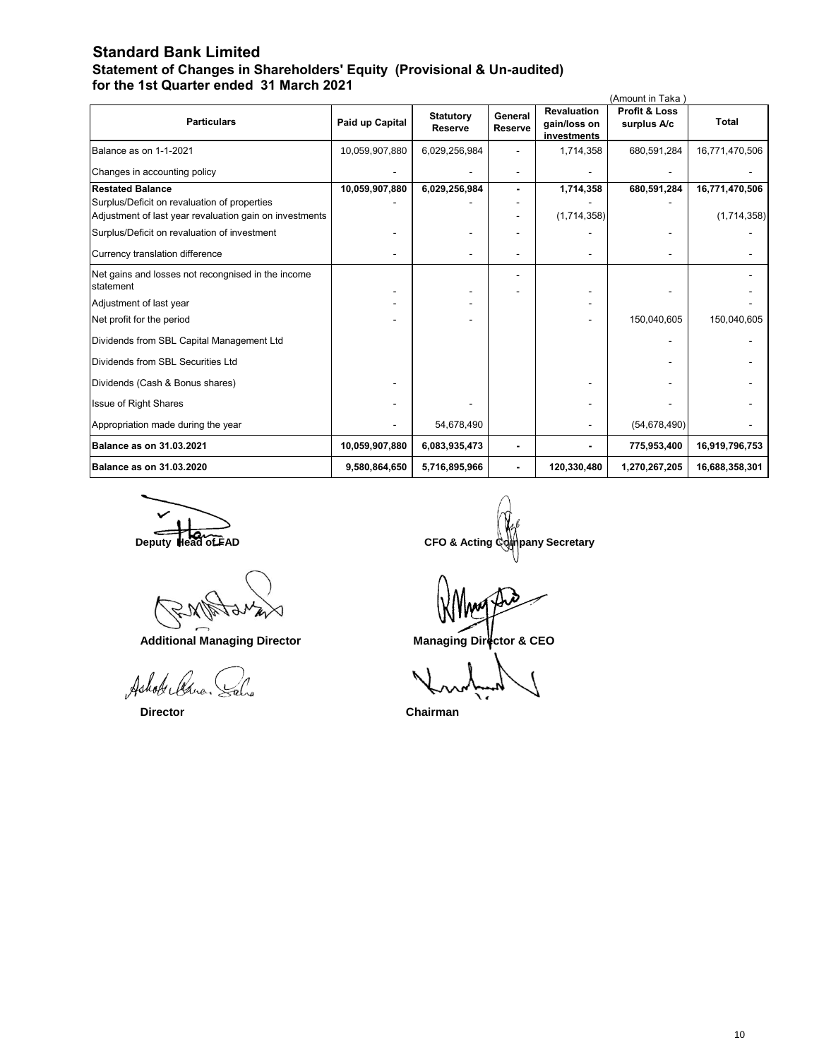## **Standard Bank Limited Statement of Changes in Shareholders' Equity (Provisional & Un-audited) for the 1st Quarter ended 31 March 2021**

| (Amount in Taka)                                                |                 |                                    |                           |                                                   |                                         |                |
|-----------------------------------------------------------------|-----------------|------------------------------------|---------------------------|---------------------------------------------------|-----------------------------------------|----------------|
| <b>Particulars</b>                                              | Paid up Capital | <b>Statutory</b><br><b>Reserve</b> | General<br><b>Reserve</b> | <b>Revaluation</b><br>gain/loss on<br>investments | <b>Profit &amp; Loss</b><br>surplus A/c | <b>Total</b>   |
| Balance as on 1-1-2021                                          | 10,059,907,880  | 6,029,256,984                      |                           | 1,714,358                                         | 680,591,284                             | 16,771,470,506 |
| Changes in accounting policy                                    |                 |                                    |                           |                                                   |                                         |                |
| <b>Restated Balance</b>                                         | 10,059,907,880  | 6,029,256,984                      |                           | 1,714,358                                         | 680,591,284                             | 16,771,470,506 |
| Surplus/Deficit on revaluation of properties                    |                 |                                    |                           |                                                   |                                         |                |
| Adjustment of last year revaluation gain on investments         |                 |                                    |                           | (1,714,358)                                       |                                         | (1,714,358)    |
| Surplus/Deficit on revaluation of investment                    |                 |                                    |                           |                                                   |                                         |                |
| Currency translation difference                                 |                 |                                    |                           |                                                   |                                         |                |
| Net gains and losses not recongnised in the income<br>statement |                 |                                    |                           |                                                   |                                         |                |
| Adjustment of last year                                         |                 |                                    |                           |                                                   |                                         |                |
| Net profit for the period                                       |                 |                                    |                           |                                                   | 150,040,605                             | 150,040,605    |
| Dividends from SBL Capital Management Ltd                       |                 |                                    |                           |                                                   |                                         |                |
| Dividends from SBL Securities Ltd                               |                 |                                    |                           |                                                   |                                         |                |
| Dividends (Cash & Bonus shares)                                 |                 |                                    |                           |                                                   |                                         |                |
| Issue of Right Shares                                           |                 |                                    |                           |                                                   |                                         |                |
| Appropriation made during the year                              |                 | 54,678,490                         |                           |                                                   | (54, 678, 490)                          |                |
| Balance as on 31.03.2021                                        | 10,059,907,880  | 6,083,935,473                      |                           |                                                   | 775,953,400                             | 16,919,796,753 |
| Balance as on 31.03.2020                                        | 9,580,864,650   | 5,716,895,966                      |                           | 120,330,480                                       | 1,270,267,205                           | 16,688,358,301 |

Additional Managing Director **Managing Director** Managing Director & CEO

Ashok led

**Deputy Head of FAD** CFO & Acting Company Secretary

 **Director Chairman**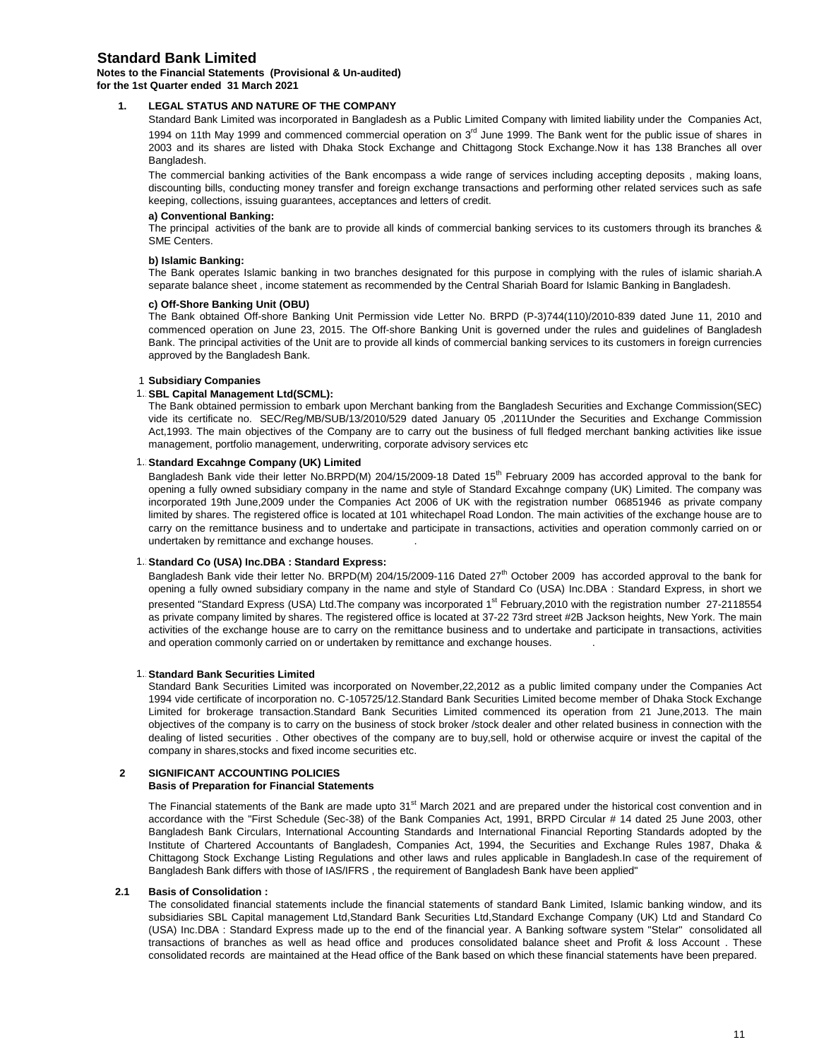## **Standard Bank Limited**

#### **Notes to the Financial Statements (Provisional & Un-audited) for the 1st Quarter ended 31 March 2021**

#### **1. LEGAL STATUS AND NATURE OF THE COMPANY**

Standard Bank Limited was incorporated in Bangladesh as a Public Limited Company with limited liability under the Companies Act, 1994 on 11th May 1999 and commenced commercial operation on 3<sup>rd</sup> June 1999. The Bank went for the public issue of shares in 2003 and its shares are listed with Dhaka Stock Exchange and Chittagong Stock Exchange.Now it has 138 Branches all over Bangladesh.

The commercial banking activities of the Bank encompass a wide range of services including accepting deposits , making loans, discounting bills, conducting money transfer and foreign exchange transactions and performing other related services such as safe keeping, collections, issuing guarantees, acceptances and letters of credit.

#### **a) Conventional Banking:**

The principal activities of the bank are to provide all kinds of commercial banking services to its customers through its branches & SME Centers.

#### **b) Islamic Banking:**

The Bank operates Islamic banking in two branches designated for this purpose in complying with the rules of islamic shariah.A separate balance sheet , income statement as recommended by the Central Shariah Board for Islamic Banking in Bangladesh.

#### **c) Off-Shore Banking Unit (OBU)**

The Bank obtained Off-shore Banking Unit Permission vide Letter No. BRPD (P-3)744(110)/2010-839 dated June 11, 2010 and commenced operation on June 23, 2015. The Off-shore Banking Unit is governed under the rules and guidelines of Bangladesh Bank. The principal activities of the Unit are to provide all kinds of commercial banking services to its customers in foreign currencies approved by the Bangladesh Bank.

#### 1 **Subsidiary Companies**

#### 1. **SBL Capital Management Ltd(SCML):**

The Bank obtained permission to embark upon Merchant banking from the Bangladesh Securities and Exchange Commission(SEC) vide its certificate no. SEC/Reg/MB/SUB/13/2010/529 dated January 05 ,2011Under the Securities and Exchange Commission Act,1993. The main objectives of the Company are to carry out the business of full fledged merchant banking activities like issue management, portfolio management, underwriting, corporate advisory services etc

#### 1. Standard Excahnge Company (UK) Limited

Bangladesh Bank vide their letter No.BRPD(M) 204/15/2009-18 Dated 15<sup>th</sup> February 2009 has accorded approval to the bank for opening a fully owned subsidiary company in the name and style of Standard Excahnge company (UK) Limited. The company was incorporated 19th June,2009 under the Companies Act 2006 of UK with the registration number 06851946 as private company limited by shares. The registered office is located at 101 whitechapel Road London. The main activities of the exchange house are to carry on the remittance business and to undertake and participate in transactions, activities and operation commonly carried on or undertaken by remittance and exchange houses. .

#### 1. Standard Co (USA) Inc.DBA : Standard Express:

Bangladesh Bank vide their letter No. BRPD(M) 204/15/2009-116 Dated  $27<sup>th</sup>$  October 2009 has accorded approval to the bank for opening a fully owned subsidiary company in the name and style of Standard Co (USA) Inc.DBA : Standard Express, in short we presented "Standard Express (USA) Ltd.The company was incorporated 1<sup>st</sup> February,2010 with the registration number 27-2118554 as private company limited by shares. The registered office is located at 37-22 73rd street #2B Jackson heights, New York. The main activities of the exchange house are to carry on the remittance business and to undertake and participate in transactions, activities and operation commonly carried on or undertaken by remittance and exchange houses. .

#### **1. Standard Bank Securities Limited**

Standard Bank Securities Limited was incorporated on November,22,2012 as a public limited company under the Companies Act 1994 vide certificate of incorporation no. C-105725/12.Standard Bank Securities Limited become member of Dhaka Stock Exchange Limited for brokerage transaction.Standard Bank Securities Limited commenced its operation from 21 June,2013. The main objectives of the company is to carry on the business of stock broker /stock dealer and other related business in connection with the dealing of listed securities . Other obectives of the company are to buy,sell, hold or otherwise acquire or invest the capital of the company in shares,stocks and fixed income securities etc.

#### **2 SIGNIFICANT ACCOUNTING POLICIES Basis of Preparation for Financial Statements**

The Financial statements of the Bank are made upto  $31<sup>st</sup>$  March 2021 and are prepared under the historical cost convention and in accordance with the "First Schedule (Sec-38) of the Bank Companies Act, 1991, BRPD Circular # 14 dated 25 June 2003, other Bangladesh Bank Circulars, International Accounting Standards and International Financial Reporting Standards adopted by the Institute of Chartered Accountants of Bangladesh, Companies Act, 1994, the Securities and Exchange Rules 1987, Dhaka & Chittagong Stock Exchange Listing Regulations and other laws and rules applicable in Bangladesh.In case of the requirement of

Bangladesh Bank differs with those of IAS/IFRS , the requirement of Bangladesh Bank have been applied"

#### **2.1 Basis of Consolidation :**

The consolidated financial statements include the financial statements of standard Bank Limited, Islamic banking window, and its subsidiaries SBL Capital management Ltd,Standard Bank Securities Ltd,Standard Exchange Company (UK) Ltd and Standard Co (USA) Inc.DBA : Standard Express made up to the end of the financial year. A Banking software system "Stelar" consolidated all transactions of branches as well as head office and produces consolidated balance sheet and Profit & loss Account . These consolidated records are maintained at the Head office of the Bank based on which these financial statements have been prepared.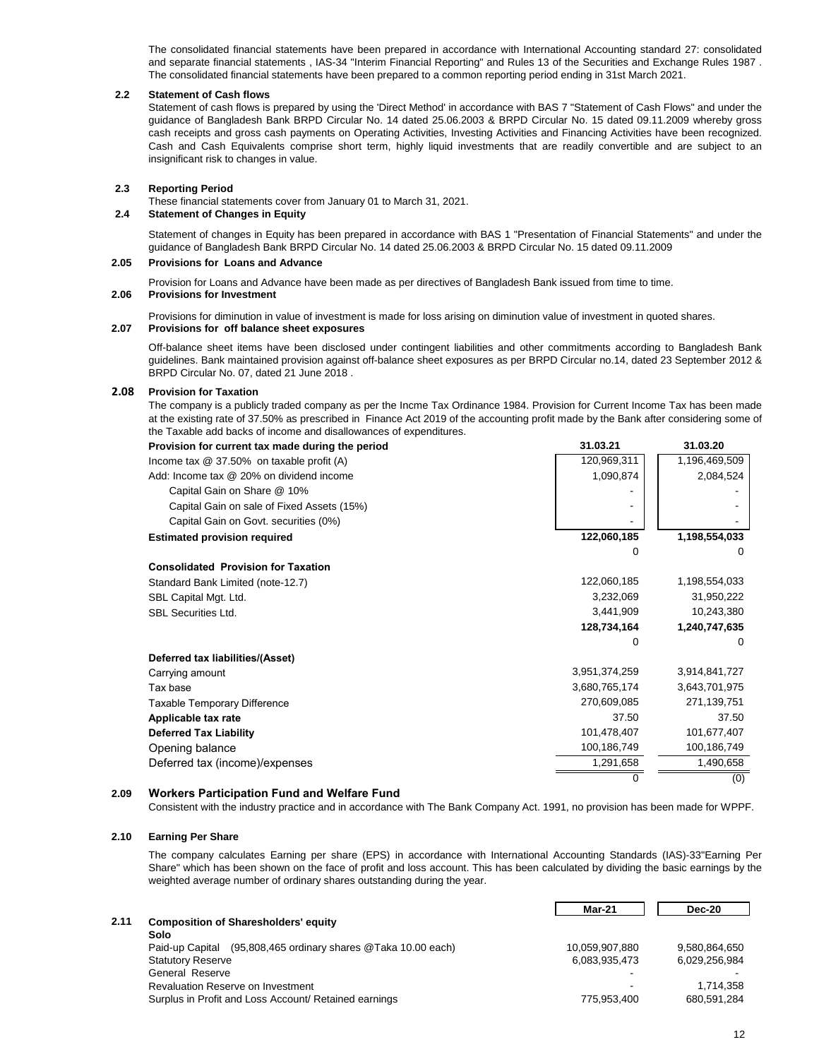The consolidated financial statements have been prepared in accordance with International Accounting standard 27: consolidated and separate financial statements , IAS-34 "Interim Financial Reporting" and Rules 13 of the Securities and Exchange Rules 1987 . The consolidated financial statements have been prepared to a common reporting period ending in 31st March 2021.

#### **2.2 Statement of Cash flows**

Statement of cash flows is prepared by using the 'Direct Method' in accordance with BAS 7 "Statement of Cash Flows" and under the guidance of Bangladesh Bank BRPD Circular No. 14 dated 25.06.2003 & BRPD Circular No. 15 dated 09.11.2009 whereby gross cash receipts and gross cash payments on Operating Activities, Investing Activities and Financing Activities have been recognized. Cash and Cash Equivalents comprise short term, highly liquid investments that are readily convertible and are subject to an insignificant risk to changes in value.

#### **2.3 Reporting Period**

These financial statements cover from January 01 to March 31, 2021.

#### **2.4 Statement of Changes in Equity**

Statement of changes in Equity has been prepared in accordance with BAS 1 "Presentation of Financial Statements" and under the guidance of Bangladesh Bank BRPD Circular No. 14 dated 25.06.2003 & BRPD Circular No. 15 dated 09.11.2009

#### **2.05 Provisions for Loans and Advance**

Provision for Loans and Advance have been made as per directives of Bangladesh Bank issued from time to time.

#### **2.06 Provisions for Investment**

Provisions for diminution in value of investment is made for loss arising on diminution value of investment in quoted shares.

#### **2.07 Provisions for off balance sheet exposures**

Off-balance sheet items have been disclosed under contingent liabilities and other commitments according to Bangladesh Bank guidelines. Bank maintained provision against off-balance sheet exposures as per BRPD Circular no.14, dated 23 September 2012 & BRPD Circular No. 07, dated 21 June 2018 .

#### **2.08 Provision for Taxation**

The company is a publicly traded company as per the Incme Tax Ordinance 1984. Provision for Current Income Tax has been made at the existing rate of 37.50% as prescribed in Finance Act 2019 of the accounting profit made by the Bank after considering some of the Taxable add backs of income and disallowances of expenditures.

| Provision for current tax made during the period | 31.03.21      | 31.03.20      |
|--------------------------------------------------|---------------|---------------|
| Income tax @ 37.50% on taxable profit (A)        | 120,969,311   | 1,196,469,509 |
| Add: Income tax @ 20% on dividend income         | 1,090,874     | 2,084,524     |
| Capital Gain on Share @ 10%                      |               |               |
| Capital Gain on sale of Fixed Assets (15%)       |               |               |
| Capital Gain on Govt. securities (0%)            |               |               |
| <b>Estimated provision required</b>              | 122,060,185   | 1,198,554,033 |
|                                                  | 0             | $\Omega$      |
| <b>Consolidated Provision for Taxation</b>       |               |               |
| Standard Bank Limited (note-12.7)                | 122,060,185   | 1,198,554,033 |
| SBL Capital Mgt. Ltd.                            | 3,232,069     | 31,950,222    |
| <b>SBL Securities Ltd.</b>                       | 3,441,909     | 10,243,380    |
|                                                  | 128,734,164   | 1,240,747,635 |
|                                                  | 0             | $\Omega$      |
| Deferred tax liabilities/(Asset)                 |               |               |
| Carrying amount                                  | 3,951,374,259 | 3,914,841,727 |
| Tax base                                         | 3,680,765,174 | 3,643,701,975 |
| Taxable Temporary Difference                     | 270,609,085   | 271,139,751   |
| Applicable tax rate                              | 37.50         | 37.50         |
| <b>Deferred Tax Liability</b>                    | 101,478,407   | 101,677,407   |
| Opening balance                                  | 100,186,749   | 100,186,749   |
| Deferred tax (income)/expenses                   | 1,291,658     | 1,490,658     |
|                                                  |               | (0)           |

#### **2.09 Workers Participation Fund and Welfare Fund**

Consistent with the industry practice and in accordance with The Bank Company Act. 1991, no provision has been made for WPPF.

#### **2.10 Earning Per Share**

The company calculates Earning per share (EPS) in accordance with International Accounting Standards (IAS)-33"Earning Per Share" which has been shown on the face of profit and loss account. This has been calculated by dividing the basic earnings by the weighted average number of ordinary shares outstanding during the year.

|      |                                                                  | Mar-21         | <b>Dec-20</b> |
|------|------------------------------------------------------------------|----------------|---------------|
| 2.11 | <b>Composition of Sharesholders' equity</b>                      |                |               |
|      | Solo                                                             |                |               |
|      | (95,808,465 ordinary shares @Taka 10.00 each)<br>Paid-up Capital | 10.059.907.880 | 9.580.864.650 |
|      | <b>Statutory Reserve</b>                                         | 6.083.935.473  | 6.029.256.984 |
|      | General Reserve                                                  |                |               |
|      | Revaluation Reserve on Investment                                |                | 1.714.358     |
|      | Surplus in Profit and Loss Account/ Retained earnings            | 775.953.400    | 680,591,284   |